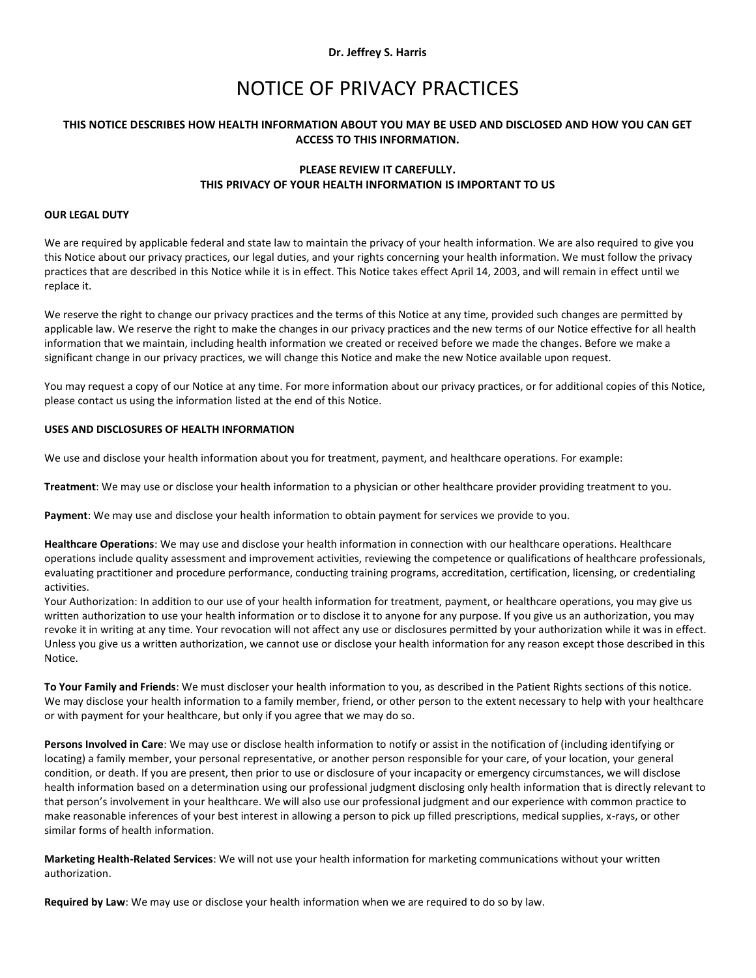**Dr. Jeffrey S. Harris**

# NOTICE OF PRIVACY PRACTICES

## **THIS NOTICE DESCRIBES HOW HEALTH INFORMATION ABOUT YOU MAY BE USED AND DISCLOSED AND HOW YOU CAN GET ACCESS TO THIS INFORMATION.**

## **PLEASE REVIEW IT CAREFULLY. THIS PRIVACY OF YOUR HEALTH INFORMATION IS IMPORTANT TO US**

#### **OUR LEGAL DUTY**

We are required by applicable federal and state law to maintain the privacy of your health information. We are also required to give you this Notice about our privacy practices, our legal duties, and your rights concerning your health information. We must follow the privacy practices that are described in this Notice while it is in effect. This Notice takes effect April 14, 2003, and will remain in effect until we replace it.

We reserve the right to change our privacy practices and the terms of this Notice at any time, provided such changes are permitted by applicable law. We reserve the right to make the changes in our privacy practices and the new terms of our Notice effective for all health information that we maintain, including health information we created or received before we made the changes. Before we make a significant change in our privacy practices, we will change this Notice and make the new Notice available upon request.

You may request a copy of our Notice at any time. For more information about our privacy practices, or for additional copies of this Notice, please contact us using the information listed at the end of this Notice.

#### **USES AND DISCLOSURES OF HEALTH INFORMATION**

We use and disclose your health information about you for treatment, payment, and healthcare operations. For example:

**Treatment**: We may use or disclose your health information to a physician or other healthcare provider providing treatment to you.

**Payment**: We may use and disclose your health information to obtain payment for services we provide to you.

**Healthcare Operations**: We may use and disclose your health information in connection with our healthcare operations. Healthcare operations include quality assessment and improvement activities, reviewing the competence or qualifications of healthcare professionals, evaluating practitioner and procedure performance, conducting training programs, accreditation, certification, licensing, or credentialing activities.

Your Authorization: In addition to our use of your health information for treatment, payment, or healthcare operations, you may give us written authorization to use your health information or to disclose it to anyone for any purpose. If you give us an authorization, you may revoke it in writing at any time. Your revocation will not affect any use or disclosures permitted by your authorization while it was in effect. Unless you give us a written authorization, we cannot use or disclose your health information for any reason except those described in this Notice.

**To Your Family and Friends**: We must discloser your health information to you, as described in the Patient Rights sections of this notice. We may disclose your health information to a family member, friend, or other person to the extent necessary to help with your healthcare or with payment for your healthcare, but only if you agree that we may do so.

**Persons Involved in Care**: We may use or disclose health information to notify or assist in the notification of (including identifying or locating) a family member, your personal representative, or another person responsible for your care, of your location, your general condition, or death. If you are present, then prior to use or disclosure of your incapacity or emergency circumstances, we will disclose health information based on a determination using our professional judgment disclosing only health information that is directly relevant to that person's involvement in your healthcare. We will also use our professional judgment and our experience with common practice to make reasonable inferences of your best interest in allowing a person to pick up filled prescriptions, medical supplies, x-rays, or other similar forms of health information.

**Marketing Health-Related Services**: We will not use your health information for marketing communications without your written authorization.

**Required by Law**: We may use or disclose your health information when we are required to do so by law.